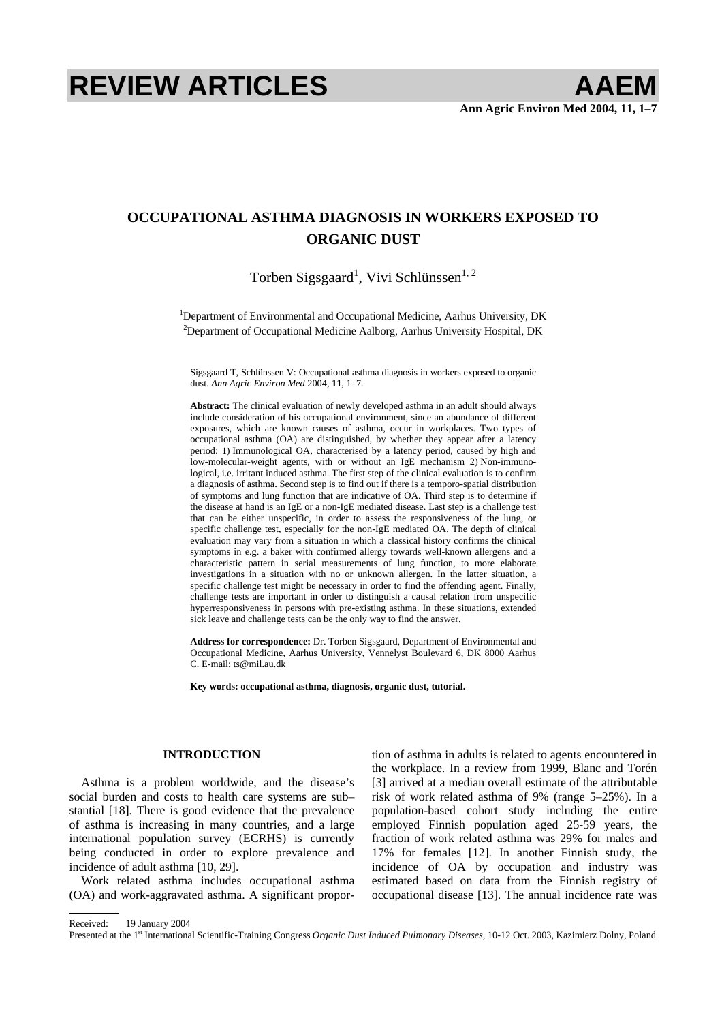# **REVIEW ARTICLES AAEM**

# **OCCUPATIONAL ASTHMA DIAGNOSIS IN WORKERS EXPOSED TO ORGANIC DUST**

Torben Sigsgaard<sup>1</sup>, Vivi Schlünssen<sup>1, 2</sup>

<sup>1</sup>Department of Environmental and Occupational Medicine, Aarhus University, DK <sup>2</sup>Department of Occupational Medicine Aalborg, Aarhus University Hospital, DK

Sigsgaard T, Schlünssen V: Occupational asthma diagnosis in workers exposed to organic dust. *Ann Agric Environ Med* 2004, **11**, 1–7.

**Abstract:** The clinical evaluation of newly developed asthma in an adult should always include consideration of his occupational environment, since an abundance of different exposures, which are known causes of asthma, occur in workplaces. Two types of occupational asthma (OA) are distinguished, by whether they appear after a latency period: 1) Immunological OA, characterised by a latency period, caused by high and low-molecular-weight agents, with or without an IgE mechanism 2) Non-immunological, i.e. irritant induced asthma. The first step of the clinical evaluation is to confirm a diagnosis of asthma. Second step is to find out if there is a temporo-spatial distribution of symptoms and lung function that are indicative of OA. Third step is to determine if the disease at hand is an IgE or a non-IgE mediated disease. Last step is a challenge test that can be either unspecific, in order to assess the responsiveness of the lung, or specific challenge test, especially for the non-IgE mediated OA. The depth of clinical evaluation may vary from a situation in which a classical history confirms the clinical symptoms in e.g. a baker with confirmed allergy towards well-known allergens and a characteristic pattern in serial measurements of lung function, to more elaborate investigations in a situation with no or unknown allergen. In the latter situation, a specific challenge test might be necessary in order to find the offending agent. Finally, challenge tests are important in order to distinguish a causal relation from unspecific hyperresponsiveness in persons with pre-existing asthma. In these situations, extended sick leave and challenge tests can be the only way to find the answer.

**Address for correspondence:** Dr. Torben Sigsgaard, Department of Environmental and Occupational Medicine, Aarhus University, Vennelyst Boulevard 6, DK 8000 Aarhus C. E-mail: ts@mil.au.dk

**Key words: occupational asthma, diagnosis, organic dust, tutorial.** 

# **INTRODUCTION**

Asthma is a problem worldwide, and the disease's social burden and costs to health care systems are sub– stantial [18]. There is good evidence that the prevalence of asthma is increasing in many countries, and a large international population survey (ECRHS) is currently being conducted in order to explore prevalence and incidence of adult asthma [10, 29].

Work related asthma includes occupational asthma (OA) and work-aggravated asthma. A significant proportion of asthma in adults is related to agents encountered in the workplace. In a review from 1999, Blanc and Torén [3] arrived at a median overall estimate of the attributable risk of work related asthma of 9% (range 5–25%). In a population-based cohort study including the entire employed Finnish population aged 25-59 years, the fraction of work related asthma was 29% for males and 17% for females [12]. In another Finnish study, the incidence of OA by occupation and industry was estimated based on data from the Finnish registry of occupational disease [13]. The annual incidence rate was

Received: 19 January 2004

Presented at the 1st International Scientific-Training Congress *Organic Dust Induced Pulmonary Diseases*, 10-12 Oct. 2003, Kazimierz Dolny, Poland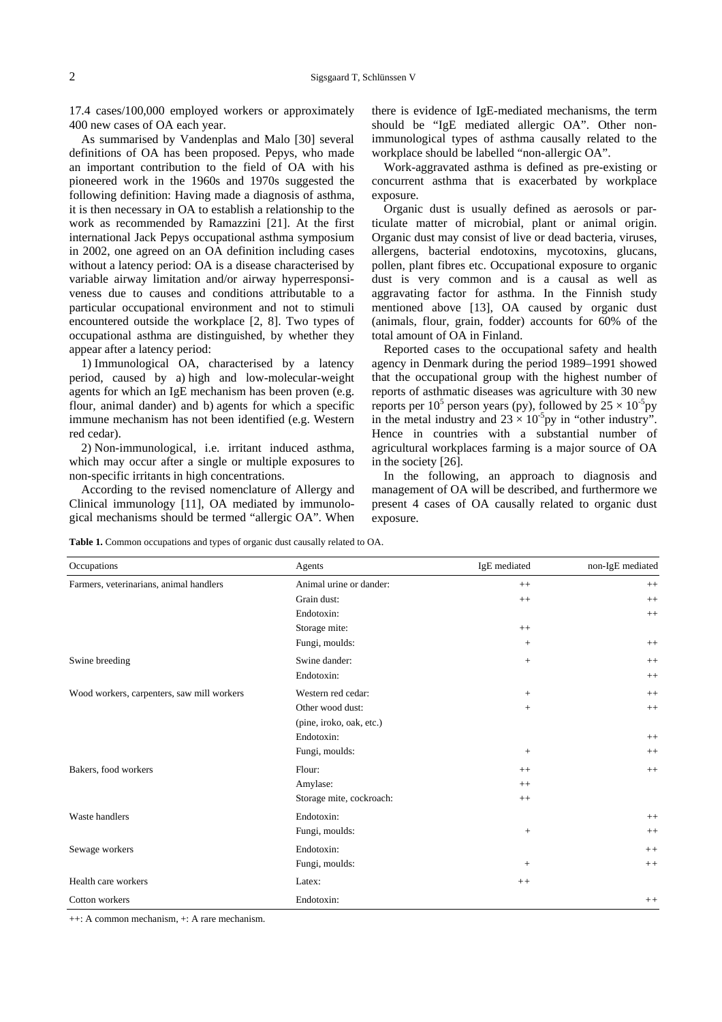17.4 cases/100,000 employed workers or approximately 400 new cases of OA each year.

As summarised by Vandenplas and Malo [30] several definitions of OA has been proposed. Pepys, who made an important contribution to the field of OA with his pioneered work in the 1960s and 1970s suggested the following definition: Having made a diagnosis of asthma, it is then necessary in OA to establish a relationship to the work as recommended by Ramazzini [21]. At the first international Jack Pepys occupational asthma symposium in 2002, one agreed on an OA definition including cases without a latency period: OA is a disease characterised by variable airway limitation and/or airway hyperresponsiveness due to causes and conditions attributable to a particular occupational environment and not to stimuli encountered outside the workplace [2, 8]. Two types of occupational asthma are distinguished, by whether they appear after a latency period:

1) Immunological OA, characterised by a latency period, caused by a) high and low-molecular-weight agents for which an IgE mechanism has been proven (e.g. flour, animal dander) and b) agents for which a specific immune mechanism has not been identified (e.g. Western red cedar).

2) Non-immunological, i.e. irritant induced asthma, which may occur after a single or multiple exposures to non-specific irritants in high concentrations.

According to the revised nomenclature of Allergy and Clinical immunology [11], OA mediated by immunological mechanisms should be termed "allergic OA". When there is evidence of IgE-mediated mechanisms, the term should be "IgE mediated allergic OA". Other nonimmunological types of asthma causally related to the workplace should be labelled "non-allergic OA".

Work-aggravated asthma is defined as pre-existing or concurrent asthma that is exacerbated by workplace exposure.

Organic dust is usually defined as aerosols or particulate matter of microbial, plant or animal origin. Organic dust may consist of live or dead bacteria, viruses, allergens, bacterial endotoxins, mycotoxins, glucans, pollen, plant fibres etc. Occupational exposure to organic dust is very common and is a causal as well as aggravating factor for asthma. In the Finnish study mentioned above [13], OA caused by organic dust (animals, flour, grain, fodder) accounts for 60% of the total amount of OA in Finland.

Reported cases to the occupational safety and health agency in Denmark during the period 1989–1991 showed that the occupational group with the highest number of reports of asthmatic diseases was agriculture with 30 new reports per  $10^5$  person years (py), followed by  $25 \times 10^{-5}$ py in the metal industry and  $23 \times 10^{-5}$ py in "other industry". Hence in countries with a substantial number of agricultural workplaces farming is a major source of OA in the society [26].

In the following, an approach to diagnosis and management of OA will be described, and furthermore we present 4 cases of OA causally related to organic dust exposure.

**Table 1.** Common occupations and types of organic dust causally related to OA.

| Occupations                                | Agents                   | IgE mediated      | non-IgE mediated |
|--------------------------------------------|--------------------------|-------------------|------------------|
| Farmers, veterinarians, animal handlers    | Animal urine or dander:  | $++$              | $^{++}$          |
|                                            | Grain dust:              | $++$              | $++$             |
|                                            | Endotoxin:               |                   | $^{++}$          |
|                                            | Storage mite:            | $++$              |                  |
|                                            | Fungi, moulds:           | $\qquad \qquad +$ | $^{++}$          |
| Swine breeding                             | Swine dander:            | $^{+}$            | $++$             |
|                                            | Endotoxin:               |                   | $++$             |
| Wood workers, carpenters, saw mill workers | Western red cedar:       | $^{+}$            | $++$             |
|                                            | Other wood dust:         | $^{+}$            | $++$             |
|                                            | (pine, iroko, oak, etc.) |                   |                  |
|                                            | Endotoxin:               |                   | $++$             |
|                                            | Fungi, moulds:           | $\! +$            | $++$             |
| Bakers, food workers                       | Flour:                   | $++$              | $++$             |
|                                            | Amylase:                 | $^{++}$           |                  |
|                                            | Storage mite, cockroach: | $^{++}$           |                  |
| Waste handlers                             | Endotoxin:               |                   | $++$             |
|                                            | Fungi, moulds:           | $\! + \!\!\!\!$   | $++$             |
| Sewage workers                             | Endotoxin:               |                   | $++$             |
|                                            | Fungi, moulds:           | $^{+}$            | $++$             |
| Health care workers                        | Latex:                   | $+ +$             |                  |
| Cotton workers                             | Endotoxin:               |                   | $++$             |

++: A common mechanism, +: A rare mechanism.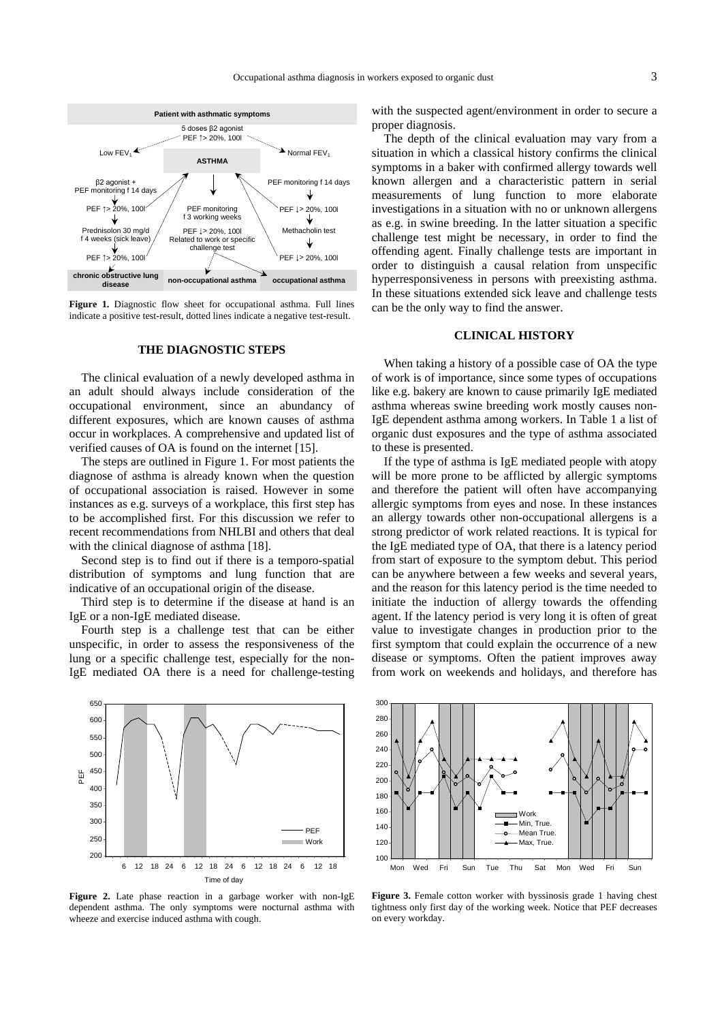

**Figure 1.** Diagnostic flow sheet for occupational asthma. Full lines indicate a positive test-result, dotted lines indicate a negative test-result.

#### **THE DIAGNOSTIC STEPS**

The clinical evaluation of a newly developed asthma in an adult should always include consideration of the occupational environment, since an abundancy of different exposures, which are known causes of asthma occur in workplaces. A comprehensive and updated list of verified causes of OA is found on the internet [15].

The steps are outlined in Figure 1. For most patients the diagnose of asthma is already known when the question of occupational association is raised. However in some instances as e.g. surveys of a workplace, this first step has to be accomplished first. For this discussion we refer to recent recommendations from NHLBI and others that deal with the clinical diagnose of asthma [18].

Second step is to find out if there is a temporo-spatial distribution of symptoms and lung function that are indicative of an occupational origin of the disease.

Third step is to determine if the disease at hand is an IgE or a non-IgE mediated disease.

Fourth step is a challenge test that can be either unspecific, in order to assess the responsiveness of the lung or a specific challenge test, especially for the non-IgE mediated OA there is a need for challenge-testing



**Figure 2.** Late phase reaction in a garbage worker with non-IgE dependent asthma. The only symptoms were nocturnal asthma with wheeze and exercise induced asthma with cough.

with the suspected agent/environment in order to secure a proper diagnosis.

The depth of the clinical evaluation may vary from a situation in which a classical history confirms the clinical symptoms in a baker with confirmed allergy towards well known allergen and a characteristic pattern in serial measurements of lung function to more elaborate investigations in a situation with no or unknown allergens as e.g. in swine breeding. In the latter situation a specific challenge test might be necessary, in order to find the offending agent. Finally challenge tests are important in order to distinguish a causal relation from unspecific hyperresponsiveness in persons with preexisting asthma. In these situations extended sick leave and challenge tests can be the only way to find the answer.

#### **CLINICAL HISTORY**

When taking a history of a possible case of OA the type of work is of importance, since some types of occupations like e.g. bakery are known to cause primarily IgE mediated asthma whereas swine breeding work mostly causes non-IgE dependent asthma among workers. In Table 1 a list of organic dust exposures and the type of asthma associated to these is presented.

If the type of asthma is IgE mediated people with atopy will be more prone to be afflicted by allergic symptoms and therefore the patient will often have accompanying allergic symptoms from eyes and nose. In these instances an allergy towards other non-occupational allergens is a strong predictor of work related reactions. It is typical for the IgE mediated type of OA, that there is a latency period from start of exposure to the symptom debut. This period can be anywhere between a few weeks and several years, and the reason for this latency period is the time needed to initiate the induction of allergy towards the offending agent. If the latency period is very long it is often of great value to investigate changes in production prior to the first symptom that could explain the occurrence of a new disease or symptoms. Often the patient improves away from work on weekends and holidays, and therefore has



**Figure 3.** Female cotton worker with byssinosis grade 1 having chest tightness only first day of the working week. Notice that PEF decreases on every workday.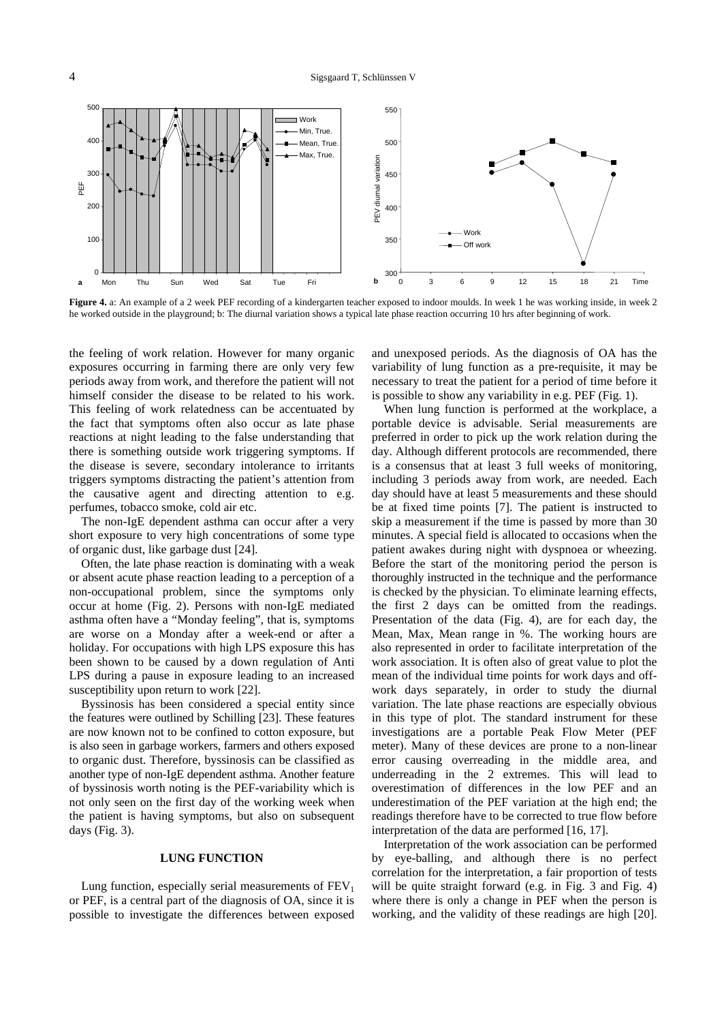

**Figure 4.** a: An example of a 2 week PEF recording of a kindergarten teacher exposed to indoor moulds. In week 1 he was working inside, in week 2 he worked outside in the playground; b: The diurnal variation shows a typical late phase reaction occurring 10 hrs after beginning of work.

the feeling of work relation. However for many organic exposures occurring in farming there are only very few periods away from work, and therefore the patient will not himself consider the disease to be related to his work. This feeling of work relatedness can be accentuated by the fact that symptoms often also occur as late phase reactions at night leading to the false understanding that there is something outside work triggering symptoms. If the disease is severe, secondary intolerance to irritants triggers symptoms distracting the patient's attention from the causative agent and directing attention to e.g. perfumes, tobacco smoke, cold air etc.

The non-IgE dependent asthma can occur after a very short exposure to very high concentrations of some type of organic dust, like garbage dust [24].

Often, the late phase reaction is dominating with a weak or absent acute phase reaction leading to a perception of a non-occupational problem, since the symptoms only occur at home (Fig. 2). Persons with non-IgE mediated asthma often have a "Monday feeling", that is, symptoms are worse on a Monday after a week-end or after a holiday. For occupations with high LPS exposure this has been shown to be caused by a down regulation of Anti LPS during a pause in exposure leading to an increased susceptibility upon return to work [22].

Byssinosis has been considered a special entity since the features were outlined by Schilling [23]. These features are now known not to be confined to cotton exposure, but is also seen in garbage workers, farmers and others exposed to organic dust. Therefore, byssinosis can be classified as another type of non-IgE dependent asthma. Another feature of byssinosis worth noting is the PEF-variability which is not only seen on the first day of the working week when the patient is having symptoms, but also on subsequent days (Fig. 3).

### **LUNG FUNCTION**

Lung function, especially serial measurements of  $FEV<sub>1</sub>$ or PEF, is a central part of the diagnosis of OA, since it is possible to investigate the differences between exposed and unexposed periods. As the diagnosis of OA has the variability of lung function as a pre-requisite, it may be necessary to treat the patient for a period of time before it is possible to show any variability in e.g. PEF (Fig. 1).

When lung function is performed at the workplace, a portable device is advisable. Serial measurements are preferred in order to pick up the work relation during the day. Although different protocols are recommended, there is a consensus that at least 3 full weeks of monitoring, including 3 periods away from work, are needed. Each day should have at least 5 measurements and these should be at fixed time points [7]. The patient is instructed to skip a measurement if the time is passed by more than 30 minutes. A special field is allocated to occasions when the patient awakes during night with dyspnoea or wheezing. Before the start of the monitoring period the person is thoroughly instructed in the technique and the performance is checked by the physician. To eliminate learning effects, the first 2 days can be omitted from the readings. Presentation of the data (Fig. 4), are for each day, the Mean, Max, Mean range in %. The working hours are also represented in order to facilitate interpretation of the work association. It is often also of great value to plot the mean of the individual time points for work days and offwork days separately, in order to study the diurnal variation. The late phase reactions are especially obvious in this type of plot. The standard instrument for these investigations are a portable Peak Flow Meter (PEF meter). Many of these devices are prone to a non-linear error causing overreading in the middle area, and underreading in the 2 extremes. This will lead to overestimation of differences in the low PEF and an underestimation of the PEF variation at the high end; the readings therefore have to be corrected to true flow before interpretation of the data are performed [16, 17].

Interpretation of the work association can be performed by eye-balling, and although there is no perfect correlation for the interpretation, a fair proportion of tests will be quite straight forward (e.g. in Fig. 3 and Fig. 4) where there is only a change in PEF when the person is working, and the validity of these readings are high [20].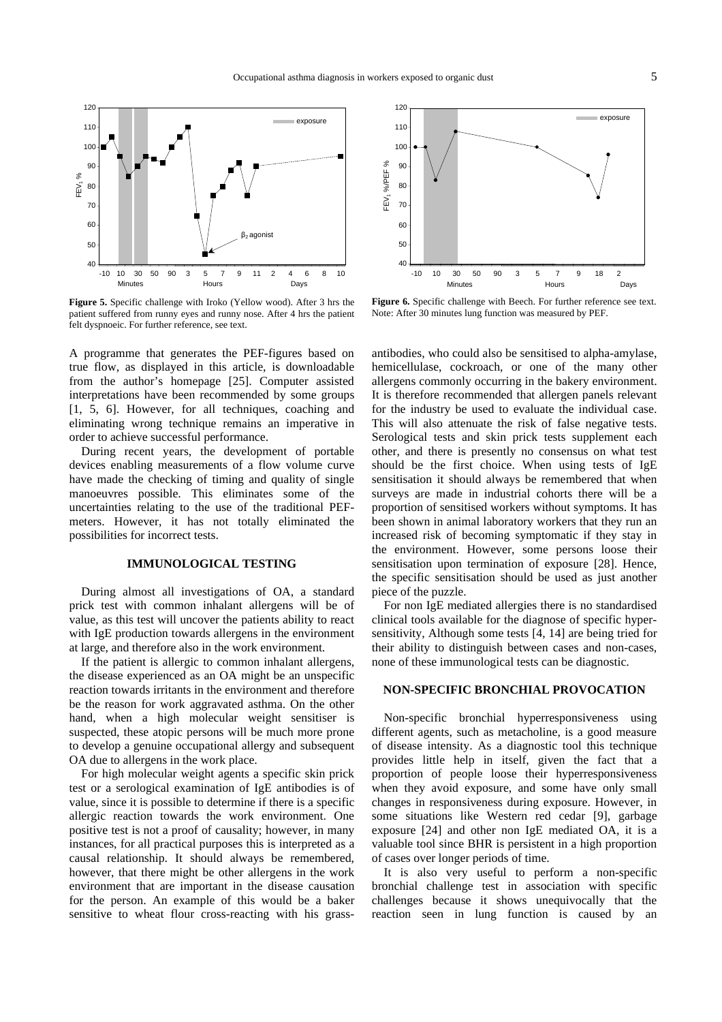

**Figure 5.** Specific challenge with Iroko (Yellow wood). After 3 hrs the patient suffered from runny eyes and runny nose. After 4 hrs the patient felt dyspnoeic. For further reference, see text.

A programme that generates the PEF-figures based on true flow, as displayed in this article, is downloadable from the author's homepage [25]. Computer assisted interpretations have been recommended by some groups [1, 5, 6]. However, for all techniques, coaching and eliminating wrong technique remains an imperative in order to achieve successful performance.

During recent years, the development of portable devices enabling measurements of a flow volume curve have made the checking of timing and quality of single manoeuvres possible. This eliminates some of the uncertainties relating to the use of the traditional PEFmeters. However, it has not totally eliminated the possibilities for incorrect tests.

# **IMMUNOLOGICAL TESTING**

During almost all investigations of OA, a standard prick test with common inhalant allergens will be of value, as this test will uncover the patients ability to react with IgE production towards allergens in the environment at large, and therefore also in the work environment.

If the patient is allergic to common inhalant allergens, the disease experienced as an OA might be an unspecific reaction towards irritants in the environment and therefore be the reason for work aggravated asthma. On the other hand, when a high molecular weight sensitiser is suspected, these atopic persons will be much more prone to develop a genuine occupational allergy and subsequent OA due to allergens in the work place.

For high molecular weight agents a specific skin prick test or a serological examination of IgE antibodies is of value, since it is possible to determine if there is a specific allergic reaction towards the work environment. One positive test is not a proof of causality; however, in many instances, for all practical purposes this is interpreted as a causal relationship. It should always be remembered, however, that there might be other allergens in the work environment that are important in the disease causation for the person. An example of this would be a baker sensitive to wheat flour cross-reacting with his grass-



**Figure 6.** Specific challenge with Beech. For further reference see text. Note: After 30 minutes lung function was measured by PEF.

antibodies, who could also be sensitised to alpha-amylase, hemicellulase, cockroach, or one of the many other allergens commonly occurring in the bakery environment. It is therefore recommended that allergen panels relevant for the industry be used to evaluate the individual case. This will also attenuate the risk of false negative tests. Serological tests and skin prick tests supplement each other, and there is presently no consensus on what test should be the first choice. When using tests of IgE sensitisation it should always be remembered that when surveys are made in industrial cohorts there will be a proportion of sensitised workers without symptoms. It has been shown in animal laboratory workers that they run an increased risk of becoming symptomatic if they stay in the environment. However, some persons loose their sensitisation upon termination of exposure [28]. Hence, the specific sensitisation should be used as just another piece of the puzzle.

For non IgE mediated allergies there is no standardised clinical tools available for the diagnose of specific hypersensitivity, Although some tests [4, 14] are being tried for their ability to distinguish between cases and non-cases, none of these immunological tests can be diagnostic.

#### **NON-SPECIFIC BRONCHIAL PROVOCATION**

Non-specific bronchial hyperresponsiveness using different agents, such as metacholine, is a good measure of disease intensity. As a diagnostic tool this technique provides little help in itself, given the fact that a proportion of people loose their hyperresponsiveness when they avoid exposure, and some have only small changes in responsiveness during exposure. However, in some situations like Western red cedar [9], garbage exposure [24] and other non IgE mediated OA, it is a valuable tool since BHR is persistent in a high proportion of cases over longer periods of time.

It is also very useful to perform a non-specific bronchial challenge test in association with specific challenges because it shows unequivocally that the reaction seen in lung function is caused by an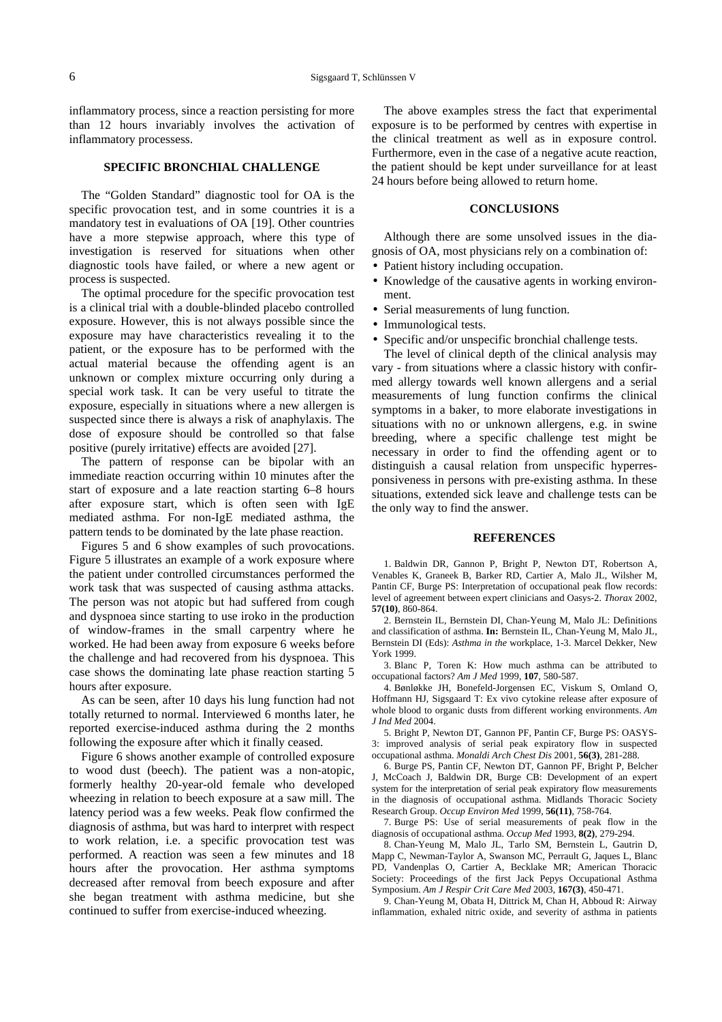inflammatory process, since a reaction persisting for more than 12 hours invariably involves the activation of inflammatory processess.

# **SPECIFIC BRONCHIAL CHALLENGE**

The "Golden Standard" diagnostic tool for OA is the specific provocation test, and in some countries it is a mandatory test in evaluations of OA [19]. Other countries have a more stepwise approach, where this type of investigation is reserved for situations when other diagnostic tools have failed, or where a new agent or process is suspected.

The optimal procedure for the specific provocation test is a clinical trial with a double-blinded placebo controlled exposure. However, this is not always possible since the exposure may have characteristics revealing it to the patient, or the exposure has to be performed with the actual material because the offending agent is an unknown or complex mixture occurring only during a special work task. It can be very useful to titrate the exposure, especially in situations where a new allergen is suspected since there is always a risk of anaphylaxis. The dose of exposure should be controlled so that false positive (purely irritative) effects are avoided [27].

The pattern of response can be bipolar with an immediate reaction occurring within 10 minutes after the start of exposure and a late reaction starting 6–8 hours after exposure start, which is often seen with IgE mediated asthma. For non-IgE mediated asthma, the pattern tends to be dominated by the late phase reaction.

Figures 5 and 6 show examples of such provocations. Figure 5 illustrates an example of a work exposure where the patient under controlled circumstances performed the work task that was suspected of causing asthma attacks. The person was not atopic but had suffered from cough and dyspnoea since starting to use iroko in the production of window-frames in the small carpentry where he worked. He had been away from exposure 6 weeks before the challenge and had recovered from his dyspnoea. This case shows the dominating late phase reaction starting 5 hours after exposure.

As can be seen, after 10 days his lung function had not totally returned to normal. Interviewed 6 months later, he reported exercise-induced asthma during the 2 months following the exposure after which it finally ceased.

Figure 6 shows another example of controlled exposure to wood dust (beech). The patient was a non-atopic, formerly healthy 20-year-old female who developed wheezing in relation to beech exposure at a saw mill. The latency period was a few weeks. Peak flow confirmed the diagnosis of asthma, but was hard to interpret with respect to work relation, i.e. a specific provocation test was performed. A reaction was seen a few minutes and 18 hours after the provocation. Her asthma symptoms decreased after removal from beech exposure and after she began treatment with asthma medicine, but she continued to suffer from exercise-induced wheezing.

The above examples stress the fact that experimental exposure is to be performed by centres with expertise in the clinical treatment as well as in exposure control. Furthermore, even in the case of a negative acute reaction, the patient should be kept under surveillance for at least 24 hours before being allowed to return home.

# **CONCLUSIONS**

Although there are some unsolved issues in the diagnosis of OA, most physicians rely on a combination of:

- Patient history including occupation.
- Knowledge of the causative agents in working environment.
- Serial measurements of lung function.
- Immunological tests.
- Specific and/or unspecific bronchial challenge tests.

The level of clinical depth of the clinical analysis may vary - from situations where a classic history with confirmed allergy towards well known allergens and a serial measurements of lung function confirms the clinical symptoms in a baker, to more elaborate investigations in situations with no or unknown allergens, e.g. in swine breeding, where a specific challenge test might be necessary in order to find the offending agent or to distinguish a causal relation from unspecific hyperresponsiveness in persons with pre-existing asthma. In these situations, extended sick leave and challenge tests can be the only way to find the answer.

#### **REFERENCES**

1. Baldwin DR, Gannon P, Bright P, Newton DT, Robertson A, Venables K, Graneek B, Barker RD, Cartier A, Malo JL, Wilsher M, Pantin CF, Burge PS: Interpretation of occupational peak flow records: level of agreement between expert clinicians and Oasys-2. *Thorax* 2002, **57(10)**, 860-864.

2. Bernstein IL, Bernstein DI, Chan-Yeung M, Malo JL: Definitions and classification of asthma. **In:** Bernstein IL, Chan-Yeung M, Malo JL, Bernstein DI (Eds): *Asthma in the* workplace, 1-3. Marcel Dekker, New York 1999.

3. Blanc P, Toren K: How much asthma can be attributed to occupational factors? *Am J Med* 1999, **107**, 580-587.

4. Bønløkke JH, Bonefeld-Jorgensen EC, Viskum S, Omland O, Hoffmann HJ, Sigsgaard T: Ex vivo cytokine release after exposure of whole blood to organic dusts from different working environments. *Am J Ind Med* 2004.

5. Bright P, Newton DT, Gannon PF, Pantin CF, Burge PS: OASYS-3: improved analysis of serial peak expiratory flow in suspected occupational asthma. *Monaldi Arch Chest Dis* 2001, **56(3)**, 281-288.

6. Burge PS, Pantin CF, Newton DT, Gannon PF, Bright P, Belcher J, McCoach J, Baldwin DR, Burge CB: Development of an expert system for the interpretation of serial peak expiratory flow measurements in the diagnosis of occupational asthma. Midlands Thoracic Society Research Group. *Occup Environ Med* 1999, **56(11)**, 758-764.

7. Burge PS: Use of serial measurements of peak flow in the diagnosis of occupational asthma. *Occup Med* 1993, **8(2)**, 279-294.

8. Chan-Yeung M, Malo JL, Tarlo SM, Bernstein L, Gautrin D, Mapp C, Newman-Taylor A, Swanson MC, Perrault G, Jaques L, Blanc PD, Vandenplas O, Cartier A, Becklake MR; American Thoracic Society: Proceedings of the first Jack Pepys Occupational Asthma Symposium. *Am J Respir Crit Care Med* 2003, **167(3)**, 450-471.

9. Chan-Yeung M, Obata H, Dittrick M, Chan H, Abboud R: Airway inflammation, exhaled nitric oxide, and severity of asthma in patients